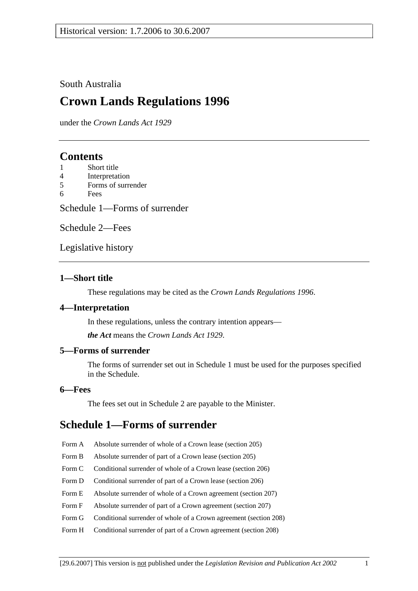### South Australia

# **Crown Lands Regulations 1996**

under the *Crown Lands Act 1929*

## **Contents**

- 1 Short title
- 4 Interpretation
- 5 Forms of surrender
- 6 Fees

Schedule 1—Forms of surrender

Schedule 2—Fees

Legislative history

### **1—Short title**

These regulations may be cited as the *Crown Lands Regulations 1996*.

### **4—Interpretation**

In these regulations, unless the contrary intention appears—

*the Act* means the *Crown Lands Act 1929*.

### **5—Forms of surrender**

The forms of surrender set out in Schedule 1 must be used for the purposes specified in the Schedule.

#### **6—Fees**

The fees set out in Schedule 2 are payable to the Minister.

# **Schedule 1—Forms of surrender**

- Form A Absolute surrender of whole of a Crown lease (section 205)
- Form B Absolute surrender of part of a Crown lease (section 205)
- Form C Conditional surrender of whole of a Crown lease (section 206)
- Form D Conditional surrender of part of a Crown lease (section 206)
- Form E Absolute surrender of whole of a Crown agreement (section 207)
- Form F Absolute surrender of part of a Crown agreement (section 207)
- Form G Conditional surrender of whole of a Crown agreement (section 208)
- Form H Conditional surrender of part of a Crown agreement (section 208)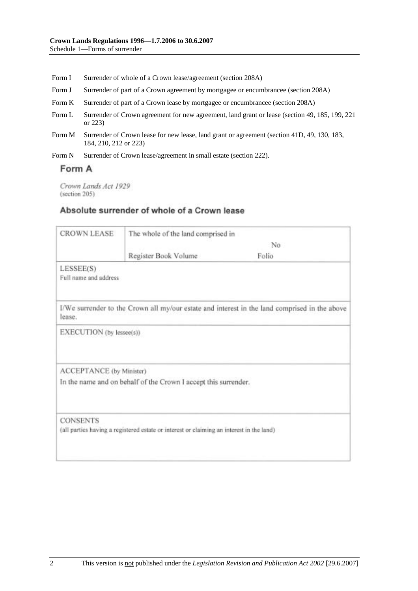- Form I Surrender of whole of a Crown lease/agreement (section 208A)
- Form J Surrender of part of a Crown agreement by mortgagee or encumbrancee (section 208A)
- Form K Surrender of part of a Crown lease by mortgagee or encumbrancee (section 208A)
- Form L Surrender of Crown agreement for new agreement, land grant or lease (section 49, 185, 199, 221 or 223)
- Form M Surrender of Crown lease for new lease, land grant or agreement (section 41D, 49, 130, 183, 184, 210, 212 or 223)
- Form N Surrender of Crown lease/agreement in small estate (section 222).

## Form A

Crown Lands Act 1929 (section 205)

### Absolute surrender of whole of a Crown lease

| <b>CROWN LEASE</b>                 | The whole of the land comprised in                                                       |                                                                                               |  |
|------------------------------------|------------------------------------------------------------------------------------------|-----------------------------------------------------------------------------------------------|--|
|                                    | No                                                                                       |                                                                                               |  |
|                                    | Register Book Volume                                                                     | Folio                                                                                         |  |
| LESSEE(S)<br>Full name and address |                                                                                          |                                                                                               |  |
| lease.                             |                                                                                          | I/We surrender to the Crown all my/our estate and interest in the land comprised in the above |  |
| EXECUTION (by lessee(s))           |                                                                                          |                                                                                               |  |
| ACCEPTANCE (by Minister)           |                                                                                          |                                                                                               |  |
|                                    | In the name and on behalf of the Crown I accept this surrender.                          |                                                                                               |  |
| <b>CONSENTS</b>                    | (all parties having a registered estate or interest or claiming an interest in the land) |                                                                                               |  |
|                                    |                                                                                          |                                                                                               |  |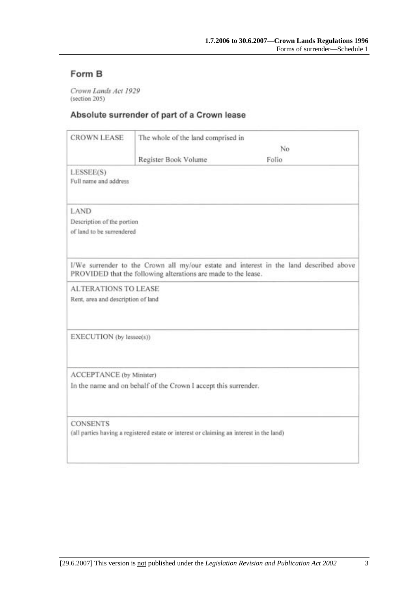# Form B

Crown Lands Act 1929 (section 205)

## Absolute surrender of part of a Crown lease

| Register Book Volume | No<br>Folio                                                                                                                                                                                                                                                                                                                                                |
|----------------------|------------------------------------------------------------------------------------------------------------------------------------------------------------------------------------------------------------------------------------------------------------------------------------------------------------------------------------------------------------|
|                      |                                                                                                                                                                                                                                                                                                                                                            |
|                      |                                                                                                                                                                                                                                                                                                                                                            |
|                      |                                                                                                                                                                                                                                                                                                                                                            |
|                      |                                                                                                                                                                                                                                                                                                                                                            |
|                      |                                                                                                                                                                                                                                                                                                                                                            |
|                      |                                                                                                                                                                                                                                                                                                                                                            |
|                      |                                                                                                                                                                                                                                                                                                                                                            |
|                      | I/We surrender to the Crown all my/our estate and interest in the land described above                                                                                                                                                                                                                                                                     |
|                      |                                                                                                                                                                                                                                                                                                                                                            |
|                      |                                                                                                                                                                                                                                                                                                                                                            |
|                      |                                                                                                                                                                                                                                                                                                                                                            |
|                      |                                                                                                                                                                                                                                                                                                                                                            |
|                      |                                                                                                                                                                                                                                                                                                                                                            |
|                      |                                                                                                                                                                                                                                                                                                                                                            |
|                      |                                                                                                                                                                                                                                                                                                                                                            |
|                      |                                                                                                                                                                                                                                                                                                                                                            |
|                      | PROVIDED that the following alterations are made to the lease.<br><b>ALTERATIONS TO LEASE</b><br>Rent, area and description of land<br>EXECUTION (by lessee(s))<br>ACCEPTANCE (by Minister)<br>In the name and on behalf of the Crown I accept this surrender.<br>(all parties having a registered estate or interest or claiming an interest in the land) |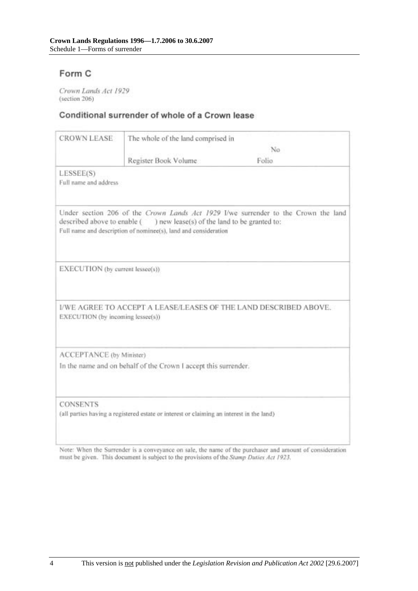## Form C

Crown Lands Act 1929 (section 206)

## Conditional surrender of whole of a Crown lease

|                                                                 | The whole of the land comprised in                                                                                                         |                                                                                    |
|-----------------------------------------------------------------|--------------------------------------------------------------------------------------------------------------------------------------------|------------------------------------------------------------------------------------|
|                                                                 | No                                                                                                                                         |                                                                                    |
|                                                                 | Register Book Volume                                                                                                                       | Folio.                                                                             |
| LESSEE(S)<br>Full name and address                              |                                                                                                                                            |                                                                                    |
|                                                                 | described above to enable () new lease(s) of the land to be granted to:<br>Full name and description of nominee(s), land and consideration | Under section 206 of the Crown Lands Act 1929 I/we surrender to the Crown the land |
| EXECUTION (by current lessee(s))                                |                                                                                                                                            |                                                                                    |
| EXECUTION (by incoming lessee(s))                               |                                                                                                                                            | I/WE AGREE TO ACCEPT A LEASE/LEASES OF THE LAND DESCRIBED ABOVE.                   |
| ACCEPTANCE (by Minister)                                        |                                                                                                                                            |                                                                                    |
|                                                                 |                                                                                                                                            |                                                                                    |
| In the name and on behalf of the Crown I accept this surrender. |                                                                                                                                            |                                                                                    |

Note: When the Surrender is a conveyance on sale, the name of the purchaser and amount of consideration must be given. This document is subject to the provisions of the Stamp Duties Act 1923.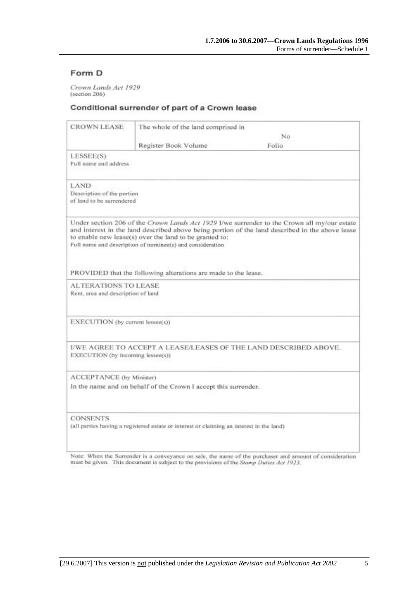### Form D

Crown Lands Act 1929 (section 206)

#### Conditional surrender of part of a Crown lease

| <b>CROWN LEASE</b>                                                | The whole of the land comprised in                                                                                  |                                                                                                                                                                                                |
|-------------------------------------------------------------------|---------------------------------------------------------------------------------------------------------------------|------------------------------------------------------------------------------------------------------------------------------------------------------------------------------------------------|
|                                                                   |                                                                                                                     | No.                                                                                                                                                                                            |
|                                                                   | Register Book Volume                                                                                                | Folio                                                                                                                                                                                          |
| LESSEE(S)<br>Full name and address                                |                                                                                                                     |                                                                                                                                                                                                |
| LAND<br>Description of the portion<br>of land to be surrendered   |                                                                                                                     |                                                                                                                                                                                                |
|                                                                   | to enable new lease(s) over the land to be granted to:<br>Full name and description of nominee(s) and consideration | Under section 206 of the Crown Lands Act 1929 I/we surrender to the Crown all my/our estate<br>and interest in the land described above being portion of the land described in the above lease |
|                                                                   | PROVIDED that the following alterations are made to the lease.                                                      |                                                                                                                                                                                                |
| <b>ALTERATIONS TO LEASE</b><br>Rent, area and description of land |                                                                                                                     |                                                                                                                                                                                                |
| EXECUTION (by current lessee(s))                                  |                                                                                                                     |                                                                                                                                                                                                |
| EXECUTION (by incoming lessee(s))                                 |                                                                                                                     | I/WE AGREE TO ACCEPT A LEASE/LEASES OF THE LAND DESCRIBED ABOVE.                                                                                                                               |
| ACCEPTANCE (by Minister)                                          | In the name and on behalf of the Crown I accept this surrender.                                                     |                                                                                                                                                                                                |
| <b>CONSENTS</b>                                                   | (all parties having a registered estate or interest or claiming an interest in the land)                            |                                                                                                                                                                                                |

Note: When the Surrender is a conveyance on sale, the name of the purchaser and amount of consideration must be given. This document is subject to the provisions of the Stamp Duties Act 1923.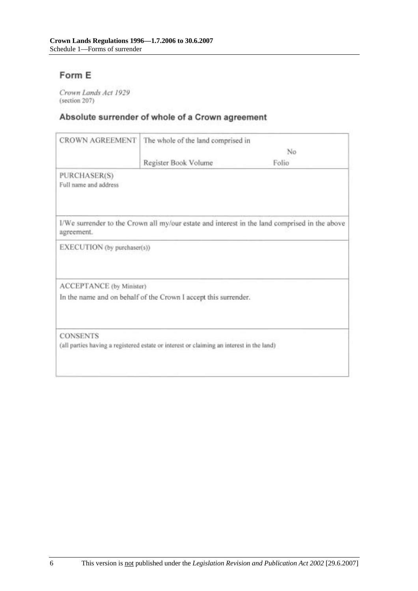# Form E

Crown Lands Act 1929 (section 207)

## Absolute surrender of whole of a Crown agreement

| <b>CROWN AGREEMENT</b>                | The whole of the land comprised in                                                       |                                                                                               |
|---------------------------------------|------------------------------------------------------------------------------------------|-----------------------------------------------------------------------------------------------|
|                                       | No                                                                                       |                                                                                               |
|                                       | Register Book Volume                                                                     | Folio                                                                                         |
| PURCHASER(S)<br>Full name and address |                                                                                          |                                                                                               |
| agreement.                            |                                                                                          | I/We surrender to the Crown all my/our estate and interest in the land comprised in the above |
| EXECUTION (by purchaser(s))           |                                                                                          |                                                                                               |
| ACCEPTANCE (by Minister)              |                                                                                          |                                                                                               |
|                                       | In the name and on behalf of the Crown I accept this surrender.                          |                                                                                               |
| <b>CONSENTS</b>                       |                                                                                          |                                                                                               |
|                                       | (all parties having a registered estate or interest or claiming an interest in the land) |                                                                                               |
|                                       |                                                                                          |                                                                                               |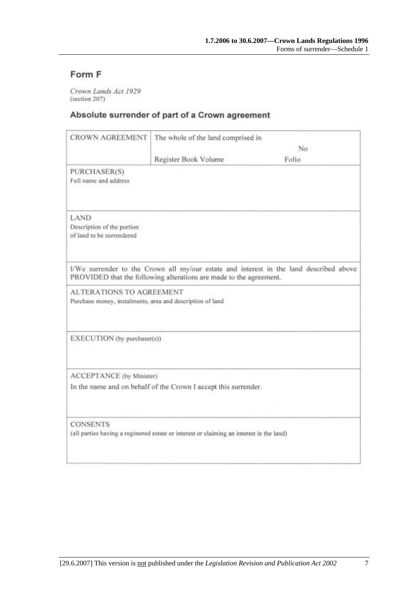# Form F

Crown Lands Act 1929 (section 207)

## Absolute surrender of part of a Crown agreement

| <b>CROWN AGREEMENT</b>                                                                       | The whole of the land comprised in                                 |                                                                                        |
|----------------------------------------------------------------------------------------------|--------------------------------------------------------------------|----------------------------------------------------------------------------------------|
|                                                                                              |                                                                    | No                                                                                     |
|                                                                                              | Register Book Volume                                               | Folio                                                                                  |
| PURCHASER(S)<br>Full name and address                                                        |                                                                    |                                                                                        |
| LAND<br>Description of the portion<br>of land to be surrendered                              |                                                                    |                                                                                        |
|                                                                                              | PROVIDED that the following alterations are made to the agreement. | I/We surrender to the Crown all my/our estate and interest in the land described above |
| <b>ALTERATIONS TO AGREEMENT</b><br>Purchase money, instalments, area and description of land |                                                                    |                                                                                        |
| EXECUTION (by purchaser(s))                                                                  |                                                                    |                                                                                        |
| ACCEPTANCE (by Minister)                                                                     |                                                                    |                                                                                        |
|                                                                                              | In the name and on behalf of the Crown I accept this surrender.    |                                                                                        |
| <b>CONSENTS</b>                                                                              |                                                                    |                                                                                        |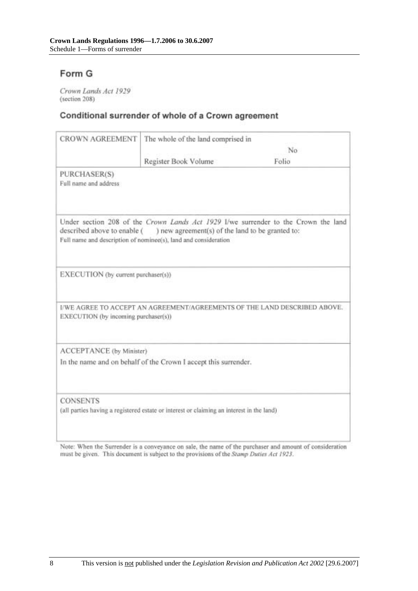# Form G

Crown Lands Act 1929 (section 208)

## Conditional surrender of whole of a Crown agreement

| <b>CROWN AGREEMENT</b>                | The whole of the land comprised in                                                                                  |                                                                                    |
|---------------------------------------|---------------------------------------------------------------------------------------------------------------------|------------------------------------------------------------------------------------|
|                                       | No                                                                                                                  |                                                                                    |
|                                       | Register Book Volume                                                                                                | Folio                                                                              |
| PURCHASER(S)<br>Full name and address |                                                                                                                     |                                                                                    |
| described above to enable (           | ) new agreement(s) of the land to be granted to:<br>Full name and description of nominee(s), land and consideration | Under section 208 of the Crown Lands Act 1929 I/we surrender to the Crown the land |
| EXECUTION (by current purchaser(s))   |                                                                                                                     |                                                                                    |
| EXECUTION (by incoming purchaser(s))  |                                                                                                                     | I/WE AGREE TO ACCEPT AN AGREEMENT/AGREEMENTS OF THE LAND DESCRIBED ABOVE.          |
| ACCEPTANCE (by Minister)              |                                                                                                                     |                                                                                    |
|                                       | In the name and on behalf of the Crown I accept this surrender.                                                     |                                                                                    |
|                                       |                                                                                                                     |                                                                                    |

Note: When the Surrender is a conveyance on sale, the name of the purchaser and amount of consideration must be given. This document is subject to the provisions of the Stamp Duties Act 1923.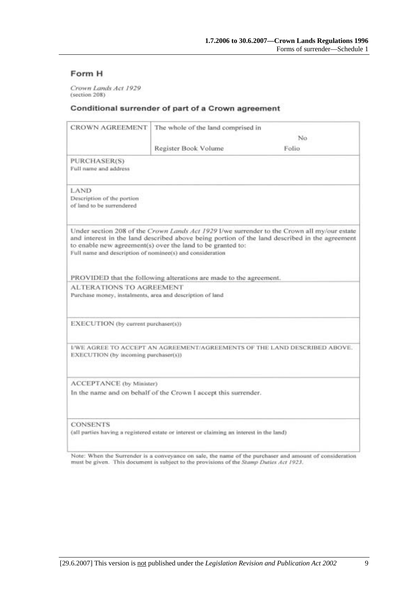## Form H

Crown Lands Act 1929 (section 208)

#### Conditional surrender of part of a Crown agreement

| CROWN AGREEMENT                                                                                             | The whole of the land comprised in                                 |                                                                                                                                                                                              |
|-------------------------------------------------------------------------------------------------------------|--------------------------------------------------------------------|----------------------------------------------------------------------------------------------------------------------------------------------------------------------------------------------|
|                                                                                                             | No.                                                                |                                                                                                                                                                                              |
|                                                                                                             | Register Book Volume                                               | Folio.                                                                                                                                                                                       |
| PURCHASER(S)<br>Full name and address                                                                       |                                                                    |                                                                                                                                                                                              |
| LAND<br>Description of the portion<br>of land to be surrendered                                             |                                                                    |                                                                                                                                                                                              |
| Full name and description of nominee(s) and consideration                                                   | to enable new agreement(s) over the land to be granted to:         | Under section 208 of the Crown Lands Act 1929 I/we surrender to the Crown all my/our estate<br>and interest in the land described above being portion of the land described in the agreement |
|                                                                                                             | PROVIDED that the following alterations are made to the agreement. |                                                                                                                                                                                              |
| <b>ALTERATIONS TO AGREEMENT</b><br>Purchase money, instalments, area and description of land                |                                                                    |                                                                                                                                                                                              |
| EXECUTION (by current purchaser(s))                                                                         |                                                                    |                                                                                                                                                                                              |
| EXECUTION (by incoming purchaser(s))                                                                        |                                                                    | I/WE AGREE TO ACCEPT AN AGREEMENT/AGREEMENTS OF THE LAND DESCRIBED ABOVE.                                                                                                                    |
| ACCEPTANCE (by Minister)                                                                                    |                                                                    |                                                                                                                                                                                              |
|                                                                                                             | In the name and on behalf of the Crown I accept this surrender.    |                                                                                                                                                                                              |
| <b>CONSENTS</b><br>(all parties having a registered estate or interest or claiming an interest in the land) |                                                                    |                                                                                                                                                                                              |

Note: When the Surrender is a conveyance on sale, the name of the purchaser and amount of consideration must be given. This document is subject to the provisions of the Stamp Dutles Act 1923.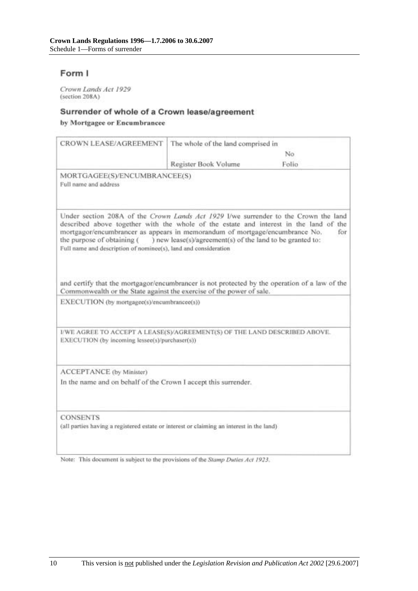## Form I

Crown Lands Act 1929 (section 208A)

#### Surrender of whole of a Crown lease/agreement

by Mortgagee or Encumbrancee

| CROWN LEASE/AGREEMENT                                                                                                                                                                                                                                                                                                                                        | The whole of the land comprised in                        |       |
|--------------------------------------------------------------------------------------------------------------------------------------------------------------------------------------------------------------------------------------------------------------------------------------------------------------------------------------------------------------|-----------------------------------------------------------|-------|
|                                                                                                                                                                                                                                                                                                                                                              |                                                           | No    |
|                                                                                                                                                                                                                                                                                                                                                              | Register Book Volume                                      | Folio |
| MORTGAGEE(S)/ENCUMBRANCEE(S)<br>Full name and address                                                                                                                                                                                                                                                                                                        |                                                           |       |
| Under section 208A of the Crown Lands Act 1929 I/we surrender to the Crown the land<br>described above together with the whole of the estate and interest in the land of the<br>mortgagor/encumbrancer as appears in memorandum of mortgage/encumbrance No.<br>the purpose of obtaining (<br>Full name and description of nominee(s), land and consideration | ) new lease(s)/agreement(s) of the land to be granted to: | for   |
| and certify that the mortgagor/encumbrancer is not protected by the operation of a law of the<br>Commonwealth or the State against the exercise of the power of sale.<br>EXECUTION (by mortgagee(s)/encumbrancee(s))                                                                                                                                         |                                                           |       |
| I/WE AGREE TO ACCEPT A LEASE(S)/AGREEMENT(S) OF THE LAND DESCRIBED ABOVE.<br>EXECUTION (by incoming lessee(s)/purchaser(s))                                                                                                                                                                                                                                  |                                                           |       |
| ACCEPTANCE (by Minister)<br>In the name and on behalf of the Crown I accept this surrender.                                                                                                                                                                                                                                                                  |                                                           |       |
| <b>CONSENTS</b><br>(all parties having a registered estate or interest or claiming an interest in the land)                                                                                                                                                                                                                                                  |                                                           |       |

Note: This document is subject to the provisions of the Stamp Duties Act 1923.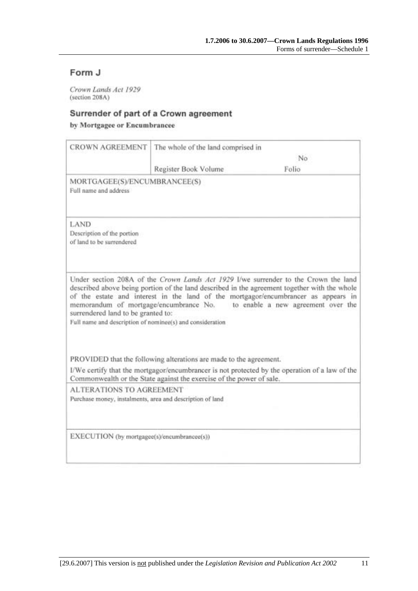## Form J

Crown Lands Act 1929 (section 208A)

## Surrender of part of a Crown agreement

by Mortgagee or Encumbrancee

| <b>CROWN AGREEMENT</b>                                                                          | The whole of the land comprised in                                   |                                                                                                                                                                                                                                                                                                                                                        |
|-------------------------------------------------------------------------------------------------|----------------------------------------------------------------------|--------------------------------------------------------------------------------------------------------------------------------------------------------------------------------------------------------------------------------------------------------------------------------------------------------------------------------------------------------|
|                                                                                                 |                                                                      | No                                                                                                                                                                                                                                                                                                                                                     |
|                                                                                                 | Register Book Volume                                                 | Folio                                                                                                                                                                                                                                                                                                                                                  |
| MORTGAGEE(S)/ENCUMBRANCEE(S)<br>Full name and address                                           |                                                                      |                                                                                                                                                                                                                                                                                                                                                        |
| LAND<br>Description of the portion<br>of land to be surrendered                                 |                                                                      |                                                                                                                                                                                                                                                                                                                                                        |
| surrendered land to be granted to:<br>Full name and description of nominee(s) and consideration |                                                                      | Under section 208A of the Crown Lands Act 1929 I/we surrender to the Crown the land<br>described above being portion of the land described in the agreement together with the whole<br>of the estate and interest in the land of the mortgagor/encumbrancer as appears in<br>memorandum of mortgage/encumbrance No. to enable a new agreement over the |
|                                                                                                 | PROVIDED that the following alterations are made to the agreement.   |                                                                                                                                                                                                                                                                                                                                                        |
|                                                                                                 | Commonwealth or the State against the exercise of the power of sale. | I/We certify that the mortgagor/encumbrancer is not protected by the operation of a law of the                                                                                                                                                                                                                                                         |
| <b>ALTERATIONS TO AGREEMENT</b><br>Purchase money, instalments, area and description of land    |                                                                      |                                                                                                                                                                                                                                                                                                                                                        |
| EXECUTION (by mortgagee(s)/encumbrancee(s))                                                     |                                                                      |                                                                                                                                                                                                                                                                                                                                                        |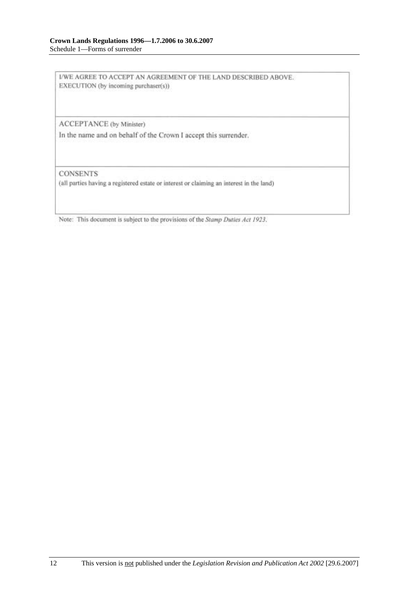I/WE AGREE TO ACCEPT AN AGREEMENT OF THE LAND DESCRIBED ABOVE. EXECUTION (by incoming purchaser(s))

ACCEPTANCE (by Minister)

In the name and on behalf of the Crown I accept this surrender.

**CONSENTS** 

(all parties having a registered estate or interest or claiming an interest in the land)

Note: This document is subject to the provisions of the Stamp Duties Act 1923.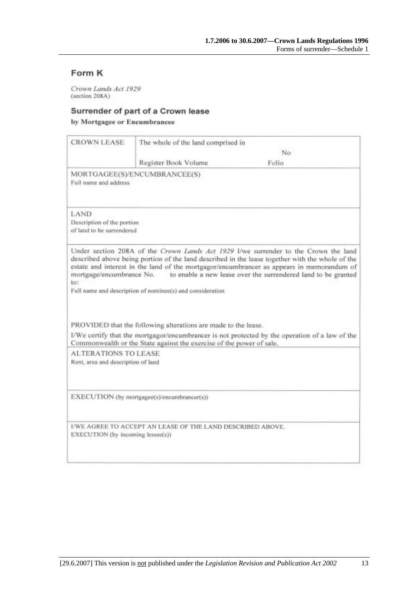## Form K

Crown Lands Act 1929 (section 208A)

#### Surrender of part of a Crown lease

by Mortgagee or Encumbrancee

|                                                                   | The whole of the land comprised in                                   |                                                                                                                                                                                                                                                                                                                                                                               |
|-------------------------------------------------------------------|----------------------------------------------------------------------|-------------------------------------------------------------------------------------------------------------------------------------------------------------------------------------------------------------------------------------------------------------------------------------------------------------------------------------------------------------------------------|
|                                                                   |                                                                      | No                                                                                                                                                                                                                                                                                                                                                                            |
|                                                                   | Register Book Volume                                                 | Folio                                                                                                                                                                                                                                                                                                                                                                         |
| Full name and address.                                            | MORTGAGEE(S)/ENCUMBRANCEE(S)                                         |                                                                                                                                                                                                                                                                                                                                                                               |
| LAND<br>Description of the portion<br>of land to be surrendered   |                                                                      |                                                                                                                                                                                                                                                                                                                                                                               |
| to:                                                               |                                                                      | Under section 208A of the Crown Lands Act 1929 I/we surrender to the Crown the land<br>described above being portion of the land described in the lease together with the whole of the<br>estate and interest in the land of the mortgagor/encumbrancer as appears in memorandum of<br>mortgage/encumbrance No. to enable a new lease over the surrendered land to be granted |
|                                                                   | Full name and description of nominee(s) and consideration            |                                                                                                                                                                                                                                                                                                                                                                               |
|                                                                   | PROVIDED that the following alterations are made to the lease.       |                                                                                                                                                                                                                                                                                                                                                                               |
|                                                                   | Commonwealth or the State against the exercise of the power of sale. | I/We certify that the mortgagor/encumbrancer is not protected by the operation of a law of the                                                                                                                                                                                                                                                                                |
| <b>ALTERATIONS TO LEASE</b><br>Rent, area and description of land |                                                                      |                                                                                                                                                                                                                                                                                                                                                                               |
|                                                                   | EXECUTION (by mortgagee(s)/encumbrancer(s))                          |                                                                                                                                                                                                                                                                                                                                                                               |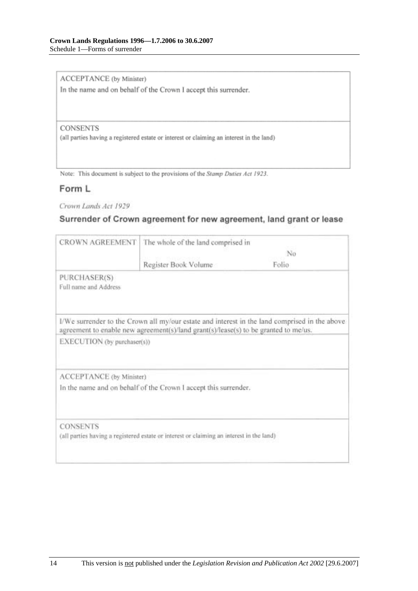ACCEPTANCE (by Minister)

In the name and on behalf of the Crown I accept this surrender.

#### **CONSENTS**

(all parties having a registered estate or interest or claiming an interest in the land)

Note: This document is subject to the provisions of the Stamp Duties Act 1923.

### Form L

Crown Lands Act 1929

### Surrender of Crown agreement for new agreement, land grant or lease

| <b>CROWN AGREEMENT</b>                | The whole of the land comprised in                                                       |                                                                                               |
|---------------------------------------|------------------------------------------------------------------------------------------|-----------------------------------------------------------------------------------------------|
|                                       | No                                                                                       |                                                                                               |
|                                       | Register Book Volume                                                                     | Folio                                                                                         |
| PURCHASER(S)<br>Full name and Address |                                                                                          |                                                                                               |
|                                       | agreement to enable new agreement(s)/land grant(s)/lease(s) to be granted to me/us.      | I/We surrender to the Crown all my/our estate and interest in the land comprised in the above |
| EXECUTION (by purchaser(s))           |                                                                                          |                                                                                               |
| ACCEPTANCE (by Minister)              |                                                                                          |                                                                                               |
|                                       | In the name and on behalf of the Crown I accept this surrender.                          |                                                                                               |
| <b>CONSENTS</b>                       |                                                                                          |                                                                                               |
|                                       | (all parties having a registered estate or interest or claiming an interest in the land) |                                                                                               |
|                                       |                                                                                          |                                                                                               |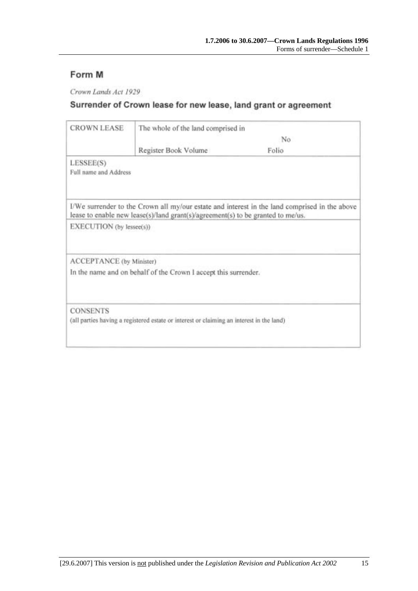## Form M

Crown Lands Act 1929

## Surrender of Crown lease for new lease, land grant or agreement

| <b>CROWN LEASE</b>       | The whole of the land comprised in                                                       |                                                                                               |
|--------------------------|------------------------------------------------------------------------------------------|-----------------------------------------------------------------------------------------------|
|                          |                                                                                          | No                                                                                            |
|                          | Register Book Volume                                                                     | Folio                                                                                         |
| LESSEE(S)                |                                                                                          |                                                                                               |
| Full name and Address    |                                                                                          |                                                                                               |
|                          | lease to enable new lease(s)/land grant(s)/agreement(s) to be granted to me/us.          | I/We surrender to the Crown all my/our estate and interest in the land comprised in the above |
| EXECUTION (by lessee(s)) |                                                                                          |                                                                                               |
| ACCEPTANCE (by Minister) |                                                                                          |                                                                                               |
|                          | In the name and on behalf of the Crown I accept this surrender.                          |                                                                                               |
| <b>CONSENTS</b>          |                                                                                          |                                                                                               |
|                          | (all parties having a registered estate or interest or claiming an interest in the land) |                                                                                               |
|                          |                                                                                          |                                                                                               |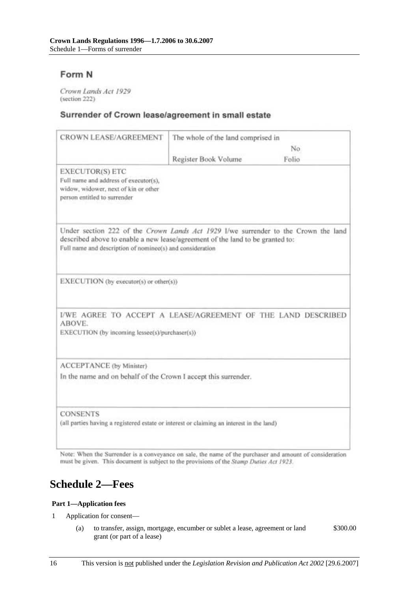## Form N

Crown Lands Act 1929 (section 222)

#### Surrender of Crown lease/agreement in small estate

| <b>CROWN LEASE/AGREEMENT</b>                                                                                                                                                                                                     | The whole of the land comprised in |       |
|----------------------------------------------------------------------------------------------------------------------------------------------------------------------------------------------------------------------------------|------------------------------------|-------|
|                                                                                                                                                                                                                                  |                                    | No    |
|                                                                                                                                                                                                                                  | Register Book Volume               | Folio |
| EXECUTOR(S) ETC<br>Full name and address of executor(s),<br>widow, widower, next of kin or other<br>person entitled to surrender                                                                                                 |                                    |       |
| Under section 222 of the Crown Lands Act 1929 I/we surrender to the Crown the land<br>described above to enable a new lease/agreement of the land to be granted to:<br>Full name and description of nominee(s) and consideration |                                    |       |
| EXECUTION (by executor(s) or other(s))                                                                                                                                                                                           |                                    |       |
| I/WE AGREE TO ACCEPT A LEASE/AGREEMENT OF THE LAND DESCRIBED<br>ABOVE.<br>EXECUTION (by incoming lessee(s)/purchaser(s))                                                                                                         |                                    |       |
| ACCEPTANCE (by Minister)<br>In the name and on behalf of the Crown I accept this surrender.                                                                                                                                      |                                    |       |
| <b>CONSENTS</b><br>(all parties having a registered estate or interest or claiming an interest in the land)                                                                                                                      |                                    |       |

Note: When the Surrender is a conveyance on sale, the name of the purchaser and amount of consideration must be given. This document is subject to the provisions of the Stamp Duties Act 1923.

# **Schedule 2—Fees**

#### **Part 1—Application fees**

- 1 Application for consent—
	- (a) to transfer, assign, mortgage, encumber or sublet a lease, agreement or land grant (or part of a lease) \$300.00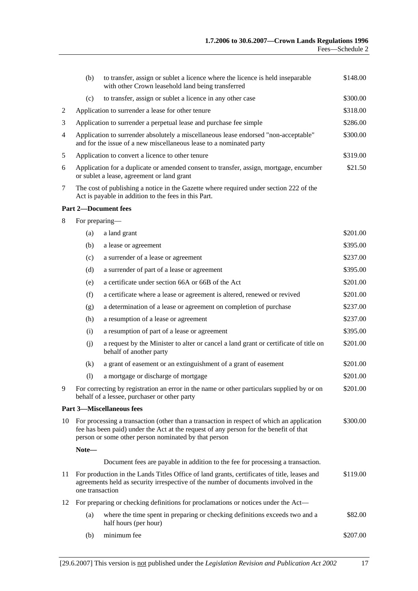|    | (b)             | to transfer, assign or sublet a licence where the licence is held inseparable<br>with other Crown leasehold land being transferred                                                                                                         | \$148.00 |
|----|-----------------|--------------------------------------------------------------------------------------------------------------------------------------------------------------------------------------------------------------------------------------------|----------|
|    | (c)             | to transfer, assign or sublet a licence in any other case                                                                                                                                                                                  | \$300.00 |
| 2  |                 | Application to surrender a lease for other tenure                                                                                                                                                                                          | \$318.00 |
| 3  |                 | Application to surrender a perpetual lease and purchase fee simple                                                                                                                                                                         | \$286.00 |
| 4  |                 | Application to surrender absolutely a miscellaneous lease endorsed "non-acceptable"<br>and for the issue of a new miscellaneous lease to a nominated party                                                                                 | \$300.00 |
| 5  |                 | Application to convert a licence to other tenure                                                                                                                                                                                           | \$319.00 |
| 6  |                 | Application for a duplicate or amended consent to transfer, assign, mortgage, encumber<br>or sublet a lease, agreement or land grant                                                                                                       | \$21.50  |
| 7  |                 | The cost of publishing a notice in the Gazette where required under section 222 of the<br>Act is payable in addition to the fees in this Part.                                                                                             |          |
|    |                 | <b>Part 2-Document fees</b>                                                                                                                                                                                                                |          |
| 8  | For preparing-  |                                                                                                                                                                                                                                            |          |
|    | (a)             | a land grant                                                                                                                                                                                                                               | \$201.00 |
|    | (b)             | a lease or agreement                                                                                                                                                                                                                       | \$395.00 |
|    | (c)             | a surrender of a lease or agreement                                                                                                                                                                                                        | \$237.00 |
|    | (d)             | a surrender of part of a lease or agreement                                                                                                                                                                                                | \$395.00 |
|    | (e)             | a certificate under section 66A or 66B of the Act                                                                                                                                                                                          | \$201.00 |
|    | (f)             | a certificate where a lease or agreement is altered, renewed or revived                                                                                                                                                                    | \$201.00 |
|    | (g)             | a determination of a lease or agreement on completion of purchase                                                                                                                                                                          | \$237.00 |
|    | (h)             | a resumption of a lease or agreement                                                                                                                                                                                                       | \$237.00 |
|    | (i)             | a resumption of part of a lease or agreement                                                                                                                                                                                               | \$395.00 |
|    | (i)             | a request by the Minister to alter or cancel a land grant or certificate of title on<br>behalf of another party                                                                                                                            | \$201.00 |
|    | (k)             | a grant of easement or an extinguishment of a grant of easement                                                                                                                                                                            | \$201.00 |
|    | (1)             | a mortgage or discharge of mortgage                                                                                                                                                                                                        | \$201.00 |
| 9  |                 | For correcting by registration an error in the name or other particulars supplied by or on<br>behalf of a lessee, purchaser or other party                                                                                                 | \$201.00 |
|    |                 | <b>Part 3-Miscellaneous fees</b>                                                                                                                                                                                                           |          |
| 10 |                 | For processing a transaction (other than a transaction in respect of which an application<br>fee has been paid) under the Act at the request of any person for the benefit of that<br>person or some other person nominated by that person | \$300.00 |
|    | Note-           |                                                                                                                                                                                                                                            |          |
|    |                 | Document fees are payable in addition to the fee for processing a transaction.                                                                                                                                                             |          |
| 11 | one transaction | For production in the Lands Titles Office of land grants, certificates of title, leases and<br>agreements held as security irrespective of the number of documents involved in the                                                         | \$119.00 |
| 12 |                 | For preparing or checking definitions for proclamations or notices under the Act—                                                                                                                                                          |          |
|    | (a)             | where the time spent in preparing or checking definitions exceeds two and a<br>half hours (per hour)                                                                                                                                       | \$82.00  |
|    | (b)             | minimum fee                                                                                                                                                                                                                                | \$207.00 |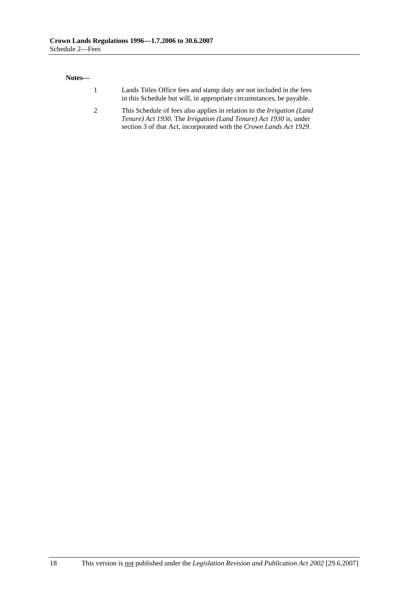#### **Notes—**

| Lands Titles Office fees and stamp duty are not included in the fees |
|----------------------------------------------------------------------|
| in this Schedule but will, in appropriate circumstances, be payable. |

2 This Schedule of fees also applies in relation to the *Irrigation (Land Tenure) Act 1930*. The *Irrigation (Land Tenure) Act 1930* is, under section 3 of that Act, incorporated with the *Crown Lands Act 1929*.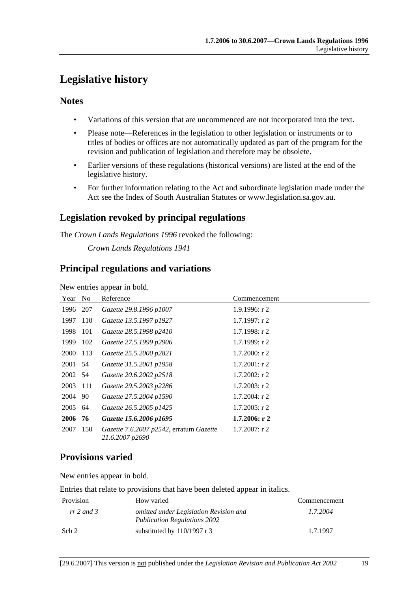# **Legislative history**

### **Notes**

- Variations of this version that are uncommenced are not incorporated into the text.
- Please note—References in the legislation to other legislation or instruments or to titles of bodies or offices are not automatically updated as part of the program for the revision and publication of legislation and therefore may be obsolete.
- Earlier versions of these regulations (historical versions) are listed at the end of the legislative history.
- For further information relating to the Act and subordinate legislation made under the Act see the Index of South Australian Statutes or www.legislation.sa.gov.au.

## **Legislation revoked by principal regulations**

The *Crown Lands Regulations 1996* revoked the following:

*Crown Lands Regulations 1941*

## **Principal regulations and variations**

New entries appear in bold.

| Year    | No   | Reference                                                  | Commencement     |
|---------|------|------------------------------------------------------------|------------------|
| 1996    | 207  | Gazette 29.8.1996 p1007                                    | 1.9.1996: $r$ 2  |
| 1997    | 110  | Gazette 13.5.1997 p1927                                    | $1.7.1997:$ r 2  |
| 1998    | 101  | Gazette 28.5.1998 p2410                                    | $1.7.1998:$ r 2  |
| 1999    | 102  | Gazette 27.5.1999 p2906                                    | $1.7.1999:$ r 2  |
| 2000    | 113  | Gazette 25.5.2000 p2821                                    | $1.7.2000:$ r 2  |
| 2001 54 |      | Gazette 31.5.2001 p1958                                    | $1.7.2001:$ r 2  |
| 2002 54 |      | Gazette 20.6.2002 p2518                                    | $1.7.2002$ : r 2 |
| 2003    | -111 | Gazette 29.5.2003 p2286                                    | $1.7.2003$ : r 2 |
| 2004    | 90   | Gazette 27.5.2004 p1590                                    | $1.7.2004$ : r 2 |
| 2005    | 64   | Gazette 26.5.2005 p1425                                    | $1.7.2005$ : r 2 |
| 2006    | 76   | Gazette 15.6.2006 p1695                                    | $1.7.2006:$ r 2  |
| 2007    | 150  | Gazette 7.6.2007 p2542, erratum Gazette<br>21.6.2007 p2690 | $1.7.2007$ : r 2 |

## **Provisions varied**

New entries appear in bold.

Entries that relate to provisions that have been deleted appear in italics.

| Provision    | How varied                                                                    | Commencement |
|--------------|-------------------------------------------------------------------------------|--------------|
| $rr 2$ and 3 | omitted under Legislation Revision and<br><b>Publication Regulations 2002</b> | 1.7.2004     |
| Sch 2        | substituted by $110/1997$ r 3                                                 | 1.7.1997     |